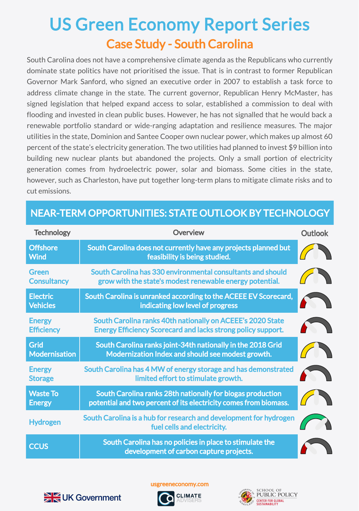## Case Study - South Carolina US Green Economy Report Series

South Carolina does not have a comprehensive climate agenda as the Republicans who currently dominate state politics have not prioritised the issue. That is in contrast to former Republican Governor Mark Sanford, who signed an executive order in 2007 to establish a task force to address climate change in the state. The current governor, Republican Henry McMaster, has signed legislation that helped expand access to solar, established a commission to deal with flooding and invested in clean public buses. However, he has not signalled that he would back a renewable portfolio standard or wide-ranging adaptation and resilience measures. The major utilities in the state, Dominion and Santee Cooper own nuclear power, which makes up almost 60 percent of the state's electricity generation. The two utilities had planned to invest \$9 billion into building new nuclear plants but abandoned the projects. Only a small portion of electricity generation comes from hydroelectric power, solar and biomass. Some cities in the state, however, such as Charleston, have put together long-term plans to mitigate climate risks and to cut emissions.

| <b>Technology</b>                   | Overview                                                                                                                          | <b>Outlook</b> |
|-------------------------------------|-----------------------------------------------------------------------------------------------------------------------------------|----------------|
| <b>Offshore</b><br><b>Wind</b>      | South Carolina does not currently have any projects planned but<br>feasibility is being studied.                                  |                |
| Green<br><b>Consultancy</b>         | South Carolina has 330 environmental consultants and should<br>grow with the state's modest renewable energy potential.           |                |
| <b>Electric</b><br><b>Vehicles</b>  | South Carolina is unranked according to the ACEEE EV Scorecard,<br>indicating low level of progress                               |                |
| <b>Energy</b><br><b>Efficiency</b>  | South Carolina ranks 40th nationally on ACEEE's 2020 State<br><b>Energy Efficiency Scorecard and lacks strong policy support.</b> |                |
| <b>Grid</b><br><b>Modernisation</b> | South Carolina ranks joint-34th nationally in the 2018 Grid<br>Modernization Index and should see modest growth.                  |                |
| <b>Energy</b><br><b>Storage</b>     | South Carolina has 4 MW of energy storage and has demonstrated<br>limited effort to stimulate growth.                             |                |
| <b>Waste To</b><br><b>Energy</b>    | South Carolina ranks 28th nationally for biogas production<br>potential and two percent of its electricity comes from biomass.    |                |
| <b>Hydrogen</b>                     | South Carolina is a hub for research and development for hydrogen<br>fuel cells and electricity.                                  |                |
| <b>CCUS</b>                         | South Carolina has no policies in place to stimulate the<br>development of carbon capture projects.                               |                |

## NEAR-TERM OPPORTUNITIES: STATE OUTLOOK BY TECHNOLOGY



usgreeneconomy.com